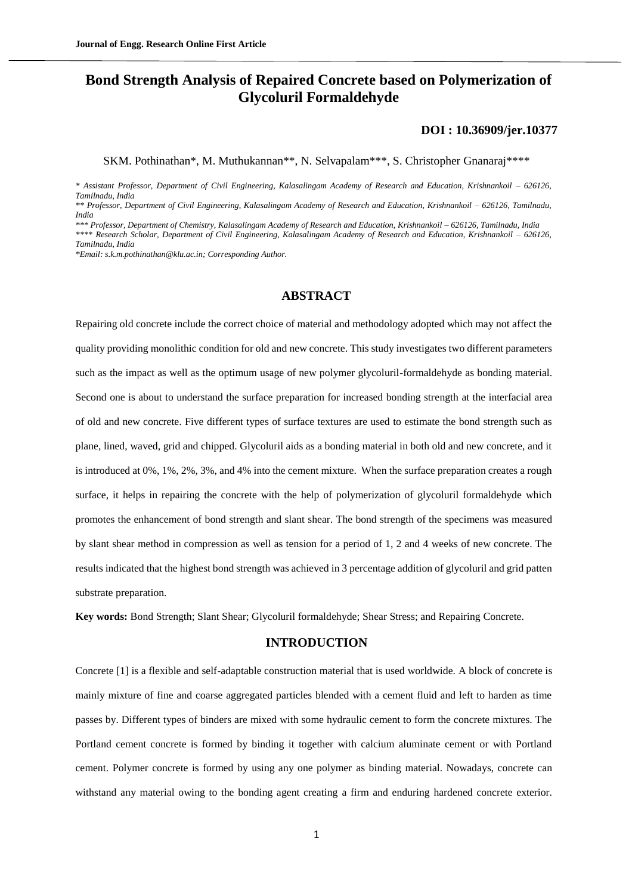# **Bond Strength Analysis of Repaired Concrete based on Polymerization of Glycoluril Formaldehyde**

#### **[DOI : 10.36909/jer.10377](https://doi.org/10.36909/jer.10377)**

SKM. Pothinathan\*, M. Muthukannan\*\*, N. Selvapalam\*\*\*, S. Christopher Gnanaraj\*\*\*\*

*\* Assistant Professor, Department of Civil Engineering, Kalasalingam Academy of Research and Education, Krishnankoil – 626126, Tamilnadu, India*

*\*\* Professor, Department of Civil Engineering, Kalasalingam Academy of Research and Education, Krishnankoil – 626126, Tamilnadu, India*

*\*\*\* Professor, Department of Chemistry, Kalasalingam Academy of Research and Education, Krishnankoil – 626126, Tamilnadu, India \*\*\*\* Research Scholar, Department of Civil Engineering, Kalasalingam Academy of Research and Education, Krishnankoil – 626126, Tamilnadu, India*

*\*Email: s.k.m.pothinathan@klu.ac.in; Corresponding Author.*

# **ABSTRACT**

Repairing old concrete include the correct choice of material and methodology adopted which may not affect the quality providing monolithic condition for old and new concrete. This study investigates two different parameters such as the impact as well as the optimum usage of new polymer glycoluril-formaldehyde as bonding material. Second one is about to understand the surface preparation for increased bonding strength at the interfacial area of old and new concrete. Five different types of surface textures are used to estimate the bond strength such as plane, lined, waved, grid and chipped. Glycoluril aids as a bonding material in both old and new concrete, and it is introduced at 0%, 1%, 2%, 3%, and 4% into the cement mixture. When the surface preparation creates a rough surface, it helps in repairing the concrete with the help of polymerization of glycoluril formaldehyde which promotes the enhancement of bond strength and slant shear. The bond strength of the specimens was measured by slant shear method in compression as well as tension for a period of 1, 2 and 4 weeks of new concrete. The results indicated that the highest bond strength was achieved in 3 percentage addition of glycoluril and grid patten substrate preparation.

**Key words:** Bond Strength; Slant Shear; Glycoluril formaldehyde; Shear Stress; and Repairing Concrete.

#### **INTRODUCTION**

Concrete [1] is a flexible and self-adaptable construction material that is used worldwide. A block of concrete is mainly mixture of fine and coarse aggregated particles blended with a cement fluid and left to harden as time passes by. Different types of binders are mixed with some hydraulic cement to form the concrete mixtures. The Portland cement concrete is formed by binding it together with calcium aluminate cement or with Portland cement. Polymer concrete is formed by using any one polymer as binding material. Nowadays, concrete can withstand any material owing to the bonding agent creating a firm and enduring hardened concrete exterior.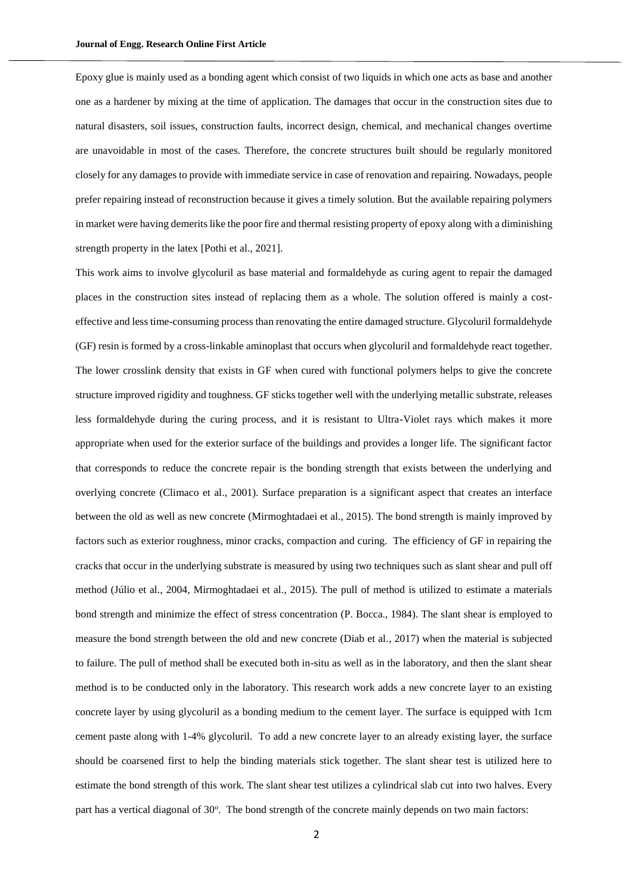Epoxy glue is mainly used as a bonding agent which consist of two liquids in which one acts as base and another one as a hardener by mixing at the time of application. The damages that occur in the construction sites due to natural disasters, soil issues, construction faults, incorrect design, chemical, and mechanical changes overtime are unavoidable in most of the cases. Therefore, the concrete structures built should be regularly monitored closely for any damages to provide with immediate service in case of renovation and repairing. Nowadays, people prefer repairing instead of reconstruction because it gives a timely solution. But the available repairing polymers in market were having demerits like the poor fire and thermal resisting property of epoxy along with a diminishing strength property in the latex [Pothi et al., 2021].

This work aims to involve glycoluril as base material and formaldehyde as curing agent to repair the damaged places in the construction sites instead of replacing them as a whole. The solution offered is mainly a costeffective and less time-consuming process than renovating the entire damaged structure. Glycoluril formaldehyde (GF) resin is formed by a cross-linkable aminoplast that occurs when glycoluril and formaldehyde react together. The lower crosslink density that exists in GF when cured with functional polymers helps to give the concrete structure improved rigidity and toughness. GF sticks together well with the underlying metallic substrate, releases less formaldehyde during the curing process, and it is resistant to Ultra-Violet rays which makes it more appropriate when used for the exterior surface of the buildings and provides a longer life. The significant factor that corresponds to reduce the concrete repair is the bonding strength that exists between the underlying and overlying concrete (Climaco et al., 2001). Surface preparation is a significant aspect that creates an interface between the old as well as new concrete (Mirmoghtadaei et al., 2015). The bond strength is mainly improved by factors such as exterior roughness, minor cracks, compaction and curing. The efficiency of GF in repairing the cracks that occur in the underlying substrate is measured by using two techniques such as slant shear and pull off method (Júlio et al., 2004, Mirmoghtadaei et al., 2015). The pull of method is utilized to estimate a materials bond strength and minimize the effect of stress concentration (P. Bocca., 1984). The slant shear is employed to measure the bond strength between the old and new concrete (Diab et al., 2017) when the material is subjected to failure. The pull of method shall be executed both in-situ as well as in the laboratory, and then the slant shear method is to be conducted only in the laboratory. This research work adds a new concrete layer to an existing concrete layer by using glycoluril as a bonding medium to the cement layer. The surface is equipped with 1cm cement paste along with 1-4% glycoluril. To add a new concrete layer to an already existing layer, the surface should be coarsened first to help the binding materials stick together. The slant shear test is utilized here to estimate the bond strength of this work. The slant shear test utilizes a cylindrical slab cut into two halves. Every part has a vertical diagonal of 30°. The bond strength of the concrete mainly depends on two main factors: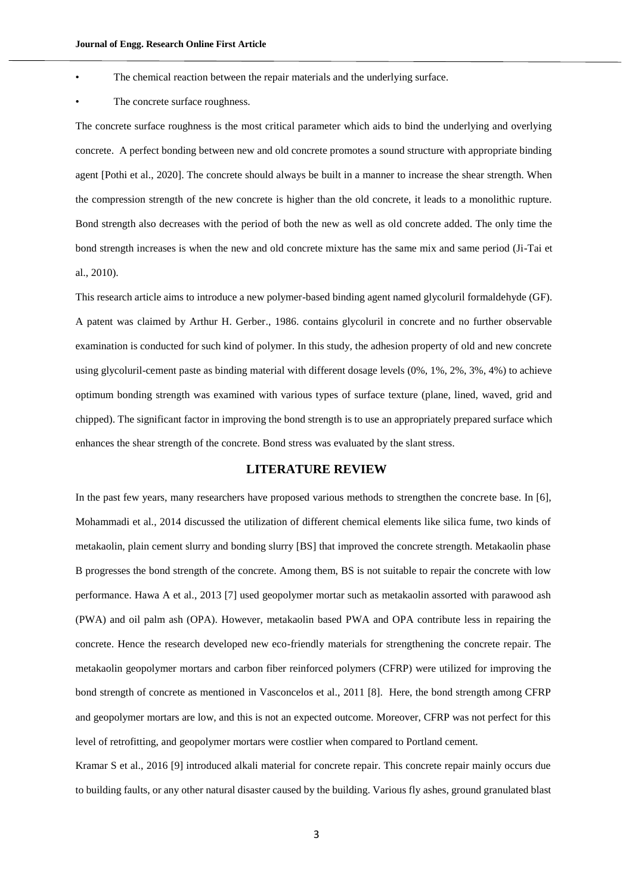- The chemical reaction between the repair materials and the underlying surface.
- The concrete surface roughness.

The concrete surface roughness is the most critical parameter which aids to bind the underlying and overlying concrete. A perfect bonding between new and old concrete promotes a sound structure with appropriate binding agent [Pothi et al., 2020]. The concrete should always be built in a manner to increase the shear strength. When the compression strength of the new concrete is higher than the old concrete, it leads to a monolithic rupture. Bond strength also decreases with the period of both the new as well as old concrete added. The only time the bond strength increases is when the new and old concrete mixture has the same mix and same period (Ji-Tai et al., 2010).

This research article aims to introduce a new polymer-based binding agent named glycoluril formaldehyde (GF). A patent was claimed by Arthur H. Gerber., 1986. contains glycoluril in concrete and no further observable examination is conducted for such kind of polymer. In this study, the adhesion property of old and new concrete using glycoluril-cement paste as binding material with different dosage levels (0%, 1%, 2%, 3%, 4%) to achieve optimum bonding strength was examined with various types of surface texture (plane, lined, waved, grid and chipped). The significant factor in improving the bond strength is to use an appropriately prepared surface which enhances the shear strength of the concrete. Bond stress was evaluated by the slant stress.

#### **LITERATURE REVIEW**

In the past few years, many researchers have proposed various methods to strengthen the concrete base. In [6], Mohammadi et al., 2014 discussed the utilization of different chemical elements like silica fume, two kinds of metakaolin, plain cement slurry and bonding slurry [BS] that improved the concrete strength. Metakaolin phase B progresses the bond strength of the concrete. Among them, BS is not suitable to repair the concrete with low performance. Hawa A et al., 2013 [7] used geopolymer mortar such as metakaolin assorted with parawood ash (PWA) and oil palm ash (OPA). However, metakaolin based PWA and OPA contribute less in repairing the concrete. Hence the research developed new eco-friendly materials for strengthening the concrete repair. The metakaolin geopolymer mortars and carbon fiber reinforced polymers (CFRP) were utilized for improving the bond strength of concrete as mentioned in Vasconcelos et al., 2011 [8]. Here, the bond strength among CFRP and geopolymer mortars are low, and this is not an expected outcome. Moreover, CFRP was not perfect for this level of retrofitting, and geopolymer mortars were costlier when compared to Portland cement.

Kramar S et al., 2016 [9] introduced alkali material for concrete repair. This concrete repair mainly occurs due to building faults, or any other natural disaster caused by the building. Various fly ashes, ground granulated blast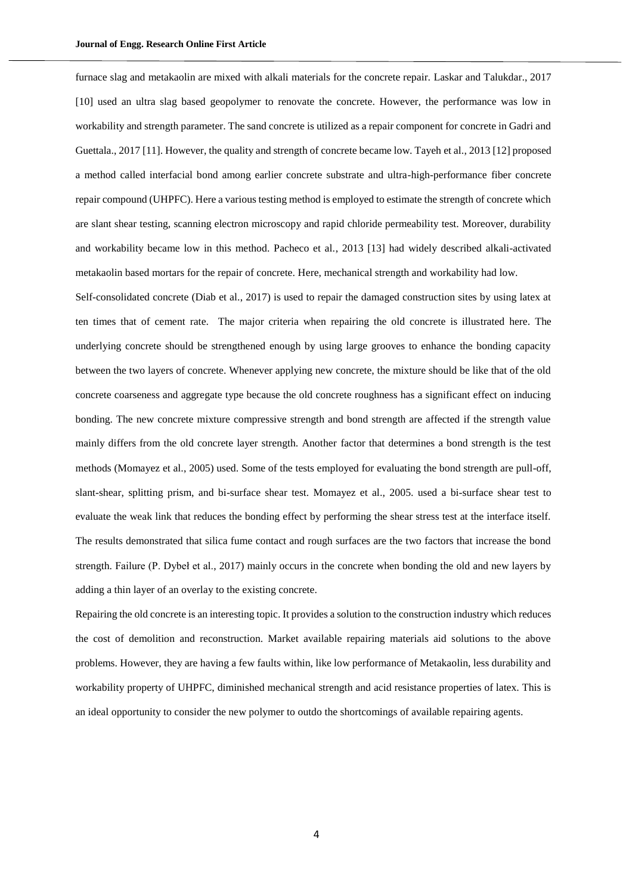furnace slag and metakaolin are mixed with alkali materials for the concrete repair. Laskar and Talukdar., 2017 [10] used an ultra slag based geopolymer to renovate the concrete. However, the performance was low in workability and strength parameter. The sand concrete is utilized as a repair component for concrete in Gadri and Guettala., 2017 [11]. However, the quality and strength of concrete became low. Tayeh et al., 2013 [12] proposed a method called interfacial bond among earlier concrete substrate and ultra-high-performance fiber concrete repair compound (UHPFC). Here a various testing method is employed to estimate the strength of concrete which are slant shear testing, scanning electron microscopy and rapid chloride permeability test. Moreover, durability and workability became low in this method. Pacheco et al., 2013 [13] had widely described alkali-activated metakaolin based mortars for the repair of concrete. Here, mechanical strength and workability had low.

Self-consolidated concrete (Diab et al., 2017) is used to repair the damaged construction sites by using latex at ten times that of cement rate. The major criteria when repairing the old concrete is illustrated here. The underlying concrete should be strengthened enough by using large grooves to enhance the bonding capacity between the two layers of concrete. Whenever applying new concrete, the mixture should be like that of the old concrete coarseness and aggregate type because the old concrete roughness has a significant effect on inducing bonding. The new concrete mixture compressive strength and bond strength are affected if the strength value mainly differs from the old concrete layer strength. Another factor that determines a bond strength is the test methods (Momayez et al., 2005) used. Some of the tests employed for evaluating the bond strength are pull-off, slant-shear, splitting prism, and bi-surface shear test. Momayez et al., 2005. used a bi-surface shear test to evaluate the weak link that reduces the bonding effect by performing the shear stress test at the interface itself. The results demonstrated that silica fume contact and rough surfaces are the two factors that increase the bond strength. Failure (P. Dybeł et al., 2017) mainly occurs in the concrete when bonding the old and new layers by adding a thin layer of an overlay to the existing concrete.

Repairing the old concrete is an interesting topic. It provides a solution to the construction industry which reduces the cost of demolition and reconstruction. Market available repairing materials aid solutions to the above problems. However, they are having a few faults within, like low performance of Metakaolin, less durability and workability property of UHPFC, diminished mechanical strength and acid resistance properties of latex. This is an ideal opportunity to consider the new polymer to outdo the shortcomings of available repairing agents.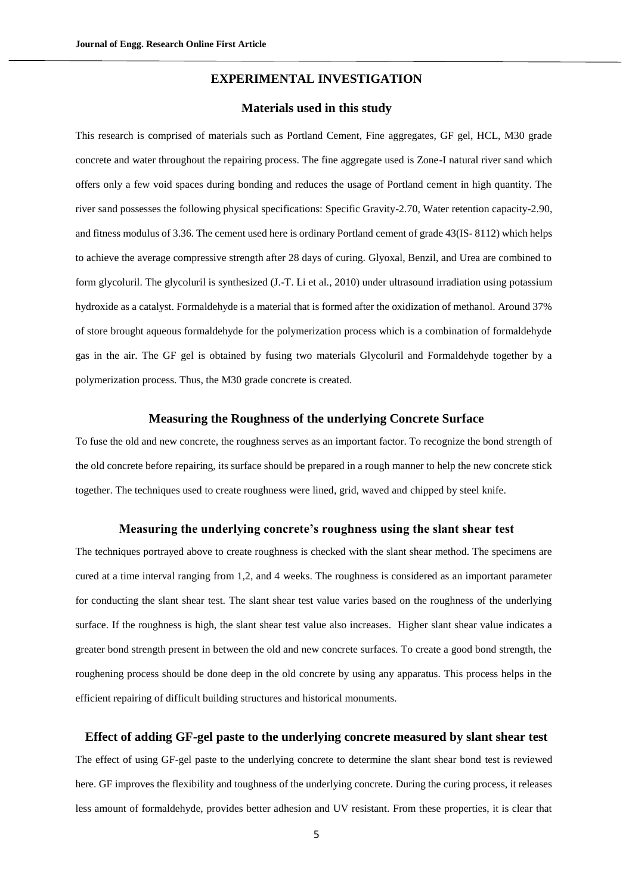# **EXPERIMENTAL INVESTIGATION**

# **Materials used in this study**

This research is comprised of materials such as Portland Cement, Fine aggregates, GF gel, HCL, M30 grade concrete and water throughout the repairing process. The fine aggregate used is Zone-I natural river sand which offers only a few void spaces during bonding and reduces the usage of Portland cement in high quantity. The river sand possesses the following physical specifications: Specific Gravity-2.70, Water retention capacity-2.90, and fitness modulus of 3.36. The cement used here is ordinary Portland cement of grade 43(IS- 8112) which helps to achieve the average compressive strength after 28 days of curing. Glyoxal, Benzil, and Urea are combined to form glycoluril. The glycoluril is synthesized (J.-T. Li et al., 2010) under ultrasound irradiation using potassium hydroxide as a catalyst. Formaldehyde is a material that is formed after the oxidization of methanol. Around 37% of store brought aqueous formaldehyde for the polymerization process which is a combination of formaldehyde gas in the air. The GF gel is obtained by fusing two materials Glycoluril and Formaldehyde together by a polymerization process. Thus, the M30 grade concrete is created.

#### **Measuring the Roughness of the underlying Concrete Surface**

To fuse the old and new concrete, the roughness serves as an important factor. To recognize the bond strength of the old concrete before repairing, its surface should be prepared in a rough manner to help the new concrete stick together. The techniques used to create roughness were lined, grid, waved and chipped by steel knife.

#### **Measuring the underlying concrete's roughness using the slant shear test**

The techniques portrayed above to create roughness is checked with the slant shear method. The specimens are cured at a time interval ranging from 1,2, and 4 weeks. The roughness is considered as an important parameter for conducting the slant shear test. The slant shear test value varies based on the roughness of the underlying surface. If the roughness is high, the slant shear test value also increases. Higher slant shear value indicates a greater bond strength present in between the old and new concrete surfaces. To create a good bond strength, the roughening process should be done deep in the old concrete by using any apparatus. This process helps in the efficient repairing of difficult building structures and historical monuments.

# **Effect of adding GF-gel paste to the underlying concrete measured by slant shear test**

The effect of using GF-gel paste to the underlying concrete to determine the slant shear bond test is reviewed here. GF improves the flexibility and toughness of the underlying concrete. During the curing process, it releases less amount of formaldehyde, provides better adhesion and UV resistant. From these properties, it is clear that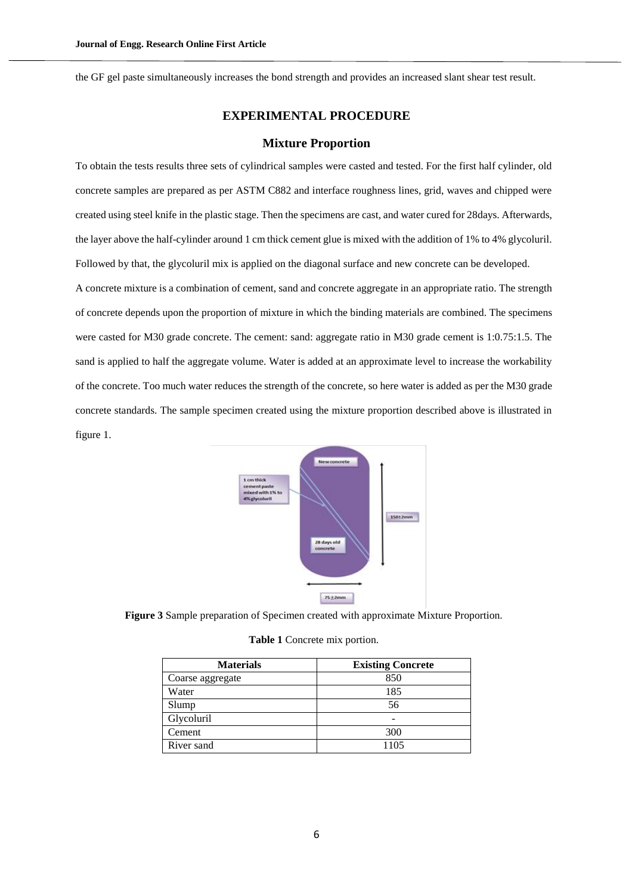the GF gel paste simultaneously increases the bond strength and provides an increased slant shear test result.

# **EXPERIMENTAL PROCEDURE**

#### **Mixture Proportion**

To obtain the tests results three sets of cylindrical samples were casted and tested. For the first half cylinder, old concrete samples are prepared as per ASTM C882 and interface roughness lines, grid, waves and chipped were created using steel knife in the plastic stage. Then the specimens are cast, and water cured for 28days. Afterwards, the layer above the half-cylinder around 1 cm thick cement glue is mixed with the addition of 1% to 4% glycoluril. Followed by that, the glycoluril mix is applied on the diagonal surface and new concrete can be developed. A concrete mixture is a combination of cement, sand and concrete aggregate in an appropriate ratio. The strength of concrete depends upon the proportion of mixture in which the binding materials are combined. The specimens were casted for M30 grade concrete. The cement: sand: aggregate ratio in M30 grade cement is 1:0.75:1.5. The sand is applied to half the aggregate volume. Water is added at an approximate level to increase the workability of the concrete. Too much water reduces the strength of the concrete, so here water is added as per the M30 grade concrete standards. The sample specimen created using the mixture proportion described above is illustrated in figure 1.



**Figure 3** Sample preparation of Specimen created with approximate Mixture Proportion.

| Table 1 Concrete mix portion. |  |  |
|-------------------------------|--|--|
|-------------------------------|--|--|

| <b>Materials</b> | <b>Existing Concrete</b> |  |  |
|------------------|--------------------------|--|--|
| Coarse aggregate | 850                      |  |  |
| Water            | 185                      |  |  |
| Slump            | 56                       |  |  |
| Glycoluril       |                          |  |  |
| Cement           | 300                      |  |  |
| River sand       | 1105                     |  |  |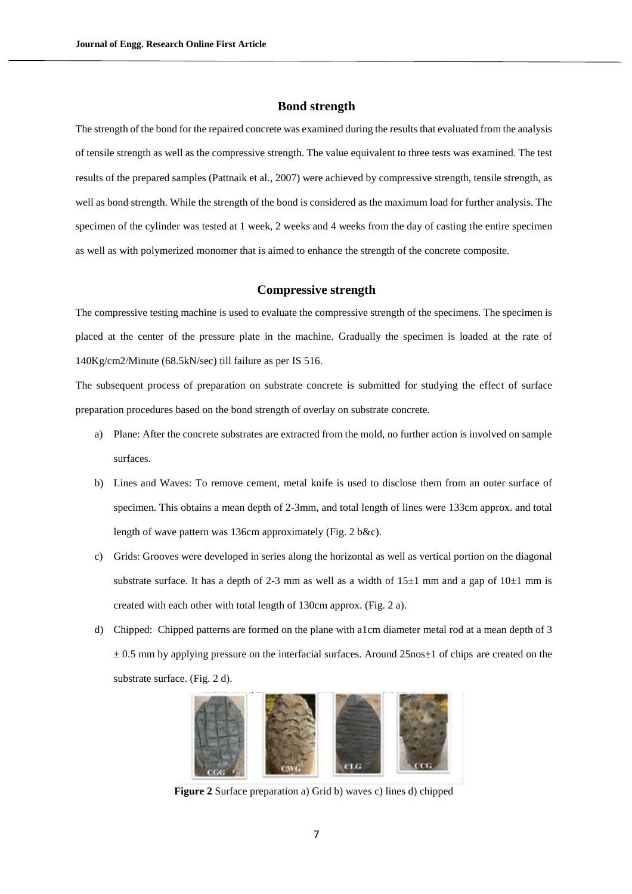#### **Bond strength**

The strength of the bond for the repaired concrete was examined during the results that evaluated from the analysis of tensile strength as well as the compressive strength. The value equivalent to three tests was examined. The test results of the prepared samples (Pattnaik et al., 2007) were achieved by compressive strength, tensile strength, as well as bond strength. While the strength of the bond is considered as the maximum load for further analysis. The specimen of the cylinder was tested at 1 week, 2 weeks and 4 weeks from the day of casting the entire specimen as well as with polymerized monomer that is aimed to enhance the strength of the concrete composite.

# **Compressive strength**

The compressive testing machine is used to evaluate the compressive strength of the specimens. The specimen is placed at the center of the pressure plate in the machine. Gradually the specimen is loaded at the rate of 140Kg/cm2/Minute (68.5kN/sec) till failure as per IS 516.

The subsequent process of preparation on substrate concrete is submitted for studying the effect of surface preparation procedures based on the bond strength of overlay on substrate concrete.

- a) Plane: After the concrete substrates are extracted from the mold, no further action is involved on sample surfaces.
- b) Lines and Waves: To remove cement, metal knife is used to disclose them from an outer surface of specimen. This obtains a mean depth of 2-3mm, and total length of lines were 133cm approx. and total length of wave pattern was 136cm approximately (Fig. 2 b&c).
- c) Grids: Grooves were developed in series along the horizontal as well as vertical portion on the diagonal substrate surface. It has a depth of 2-3 mm as well as a width of  $15\pm1$  mm and a gap of  $10\pm1$  mm is created with each other with total length of 130cm approx. (Fig. 2 a).
- d) Chipped: Chipped patterns are formed on the plane with a1cm diameter metal rod at a mean depth of 3  $\pm$  0.5 mm by applying pressure on the interfacial surfaces. Around 25nos $\pm$ 1 of chips are created on the substrate surface. (Fig. 2 d).



**Figure 2** Surface preparation a) Grid b) waves c) lines d) chipped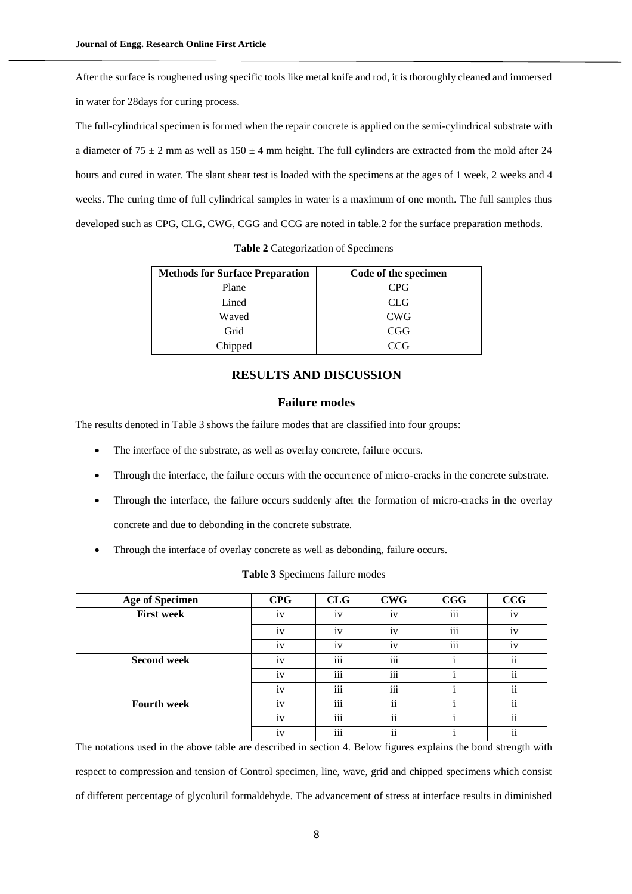After the surface is roughened using specific tools like metal knife and rod, it is thoroughly cleaned and immersed in water for 28days for curing process.

The full-cylindrical specimen is formed when the repair concrete is applied on the semi-cylindrical substrate with a diameter of  $75 \pm 2$  mm as well as  $150 \pm 4$  mm height. The full cylinders are extracted from the mold after 24 hours and cured in water. The slant shear test is loaded with the specimens at the ages of 1 week, 2 weeks and 4 weeks. The curing time of full cylindrical samples in water is a maximum of one month. The full samples thus developed such as CPG, CLG, CWG, CGG and CCG are noted in table.2 for the surface preparation methods.

| <b>Methods for Surface Preparation</b> | Code of the specimen |  |  |
|----------------------------------------|----------------------|--|--|
| Plane                                  | <b>CPG</b>           |  |  |
| Lined                                  | <b>CLG</b>           |  |  |
| Waved                                  | <b>CWG</b>           |  |  |
| Grid                                   | CGG                  |  |  |
| Chipped                                | CCG                  |  |  |

**Table 2** Categorization of Specimens

# **RESULTS AND DISCUSSION**

# **Failure modes**

The results denoted in Table 3 shows the failure modes that are classified into four groups:

- The interface of the substrate, as well as overlay concrete, failure occurs.
- Through the interface, the failure occurs with the occurrence of micro-cracks in the concrete substrate.
- Through the interface, the failure occurs suddenly after the formation of micro-cracks in the overlay concrete and due to debonding in the concrete substrate.
- Through the interface of overlay concrete as well as debonding, failure occurs.

| <b>Age of Specimen</b> | <b>CPG</b>    | CLG             | <b>CWG</b>          | CGG          | CCG                 |
|------------------------|---------------|-----------------|---------------------|--------------|---------------------|
| <b>First week</b>      | iv            | $\bullet$<br>1V | iv                  | iii          | iv                  |
|                        | iv            | iv              | iv                  | iii          | iv                  |
|                        | iv            | iv              | iv                  | iii          | iv                  |
| <b>Second week</b>     | iv            | iii             | iii                 | $\mathbf{I}$ | $\ddot{\rm n}$      |
|                        | iv            | iii             | iii                 |              | $\ddot{\rm n}$      |
|                        | $\cdot$<br>iv | iii             | iii                 |              | $\ddot{\rm n}$      |
| <b>Fourth week</b>     | iv            | iii             | ii                  | ٠<br>Ť       | $\ddot{\mathbf{i}}$ |
|                        | iv            | iii             | $\ddot{\mathbf{i}}$ |              | $\ddot{\rm n}$      |
|                        | iv            | iii             | $\ddot{\mathbf{i}}$ |              | $\mathbf{ii}$       |

**Table 3** Specimens failure modes

The notations used in the above table are described in section 4. Below figures explains the bond strength with respect to compression and tension of Control specimen, line, wave, grid and chipped specimens which consist of different percentage of glycoluril formaldehyde. The advancement of stress at interface results in diminished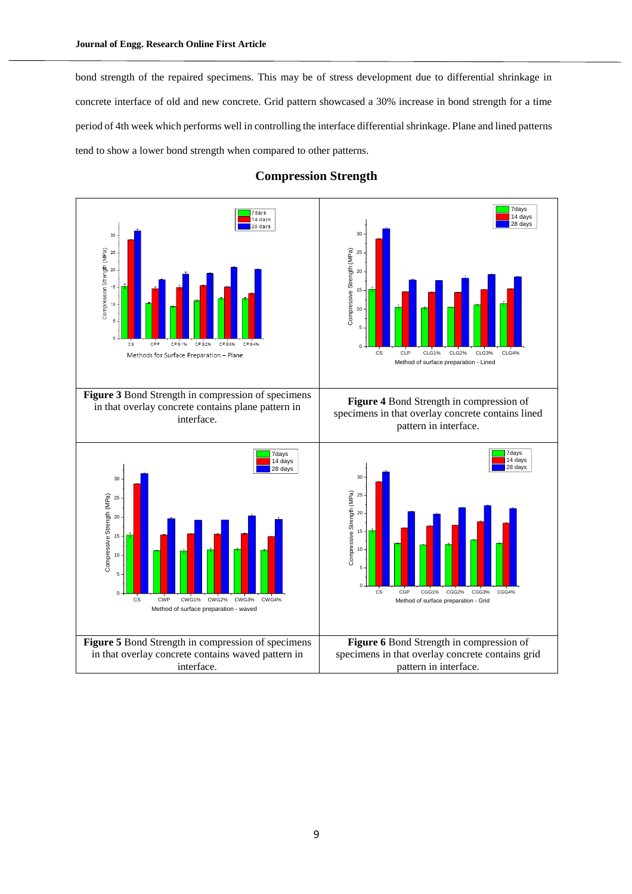bond strength of the repaired specimens. This may be of stress development due to differential shrinkage in concrete interface of old and new concrete. Grid pattern showcased a 30% increase in bond strength for a time period of 4th week which performs well in controlling the interface differential shrinkage. Plane and lined patterns tend to show a lower bond strength when compared to other patterns.



# **Compression Strength**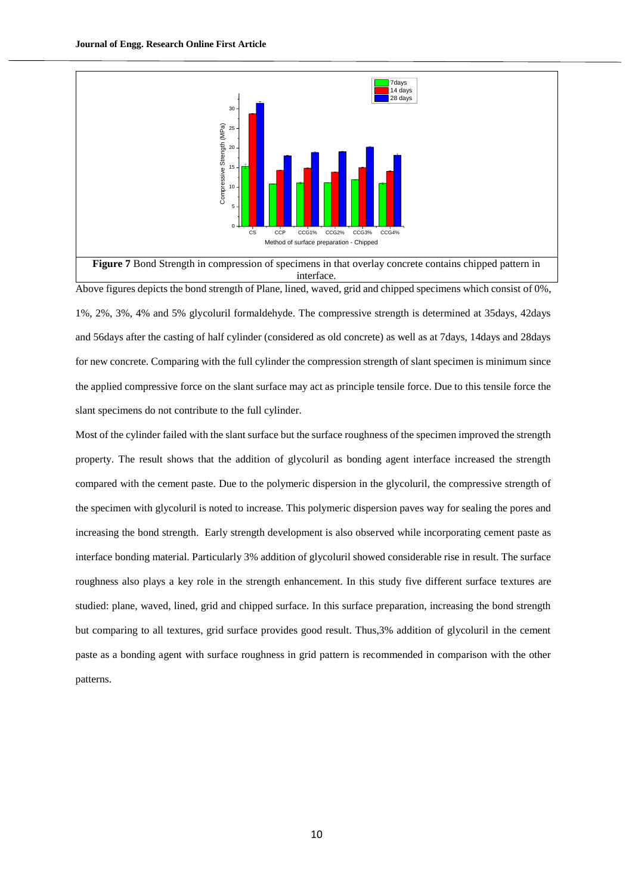

Above figures depicts the bond strength of Plane, lined, waved, grid and chipped specimens which consist of 0%,

1%, 2%, 3%, 4% and 5% glycoluril formaldehyde. The compressive strength is determined at 35days, 42days and 56days after the casting of half cylinder (considered as old concrete) as well as at 7days, 14days and 28days for new concrete. Comparing with the full cylinder the compression strength of slant specimen is minimum since the applied compressive force on the slant surface may act as principle tensile force. Due to this tensile force the slant specimens do not contribute to the full cylinder.

Most of the cylinder failed with the slant surface but the surface roughness of the specimen improved the strength property. The result shows that the addition of glycoluril as bonding agent interface increased the strength compared with the cement paste. Due to the polymeric dispersion in the glycoluril, the compressive strength of the specimen with glycoluril is noted to increase. This polymeric dispersion paves way for sealing the pores and increasing the bond strength. Early strength development is also observed while incorporating cement paste as interface bonding material. Particularly 3% addition of glycoluril showed considerable rise in result. The surface roughness also plays a key role in the strength enhancement. In this study five different surface textures are studied: plane, waved, lined, grid and chipped surface. In this surface preparation, increasing the bond strength but comparing to all textures, grid surface provides good result. Thus,3% addition of glycoluril in the cement paste as a bonding agent with surface roughness in grid pattern is recommended in comparison with the other patterns.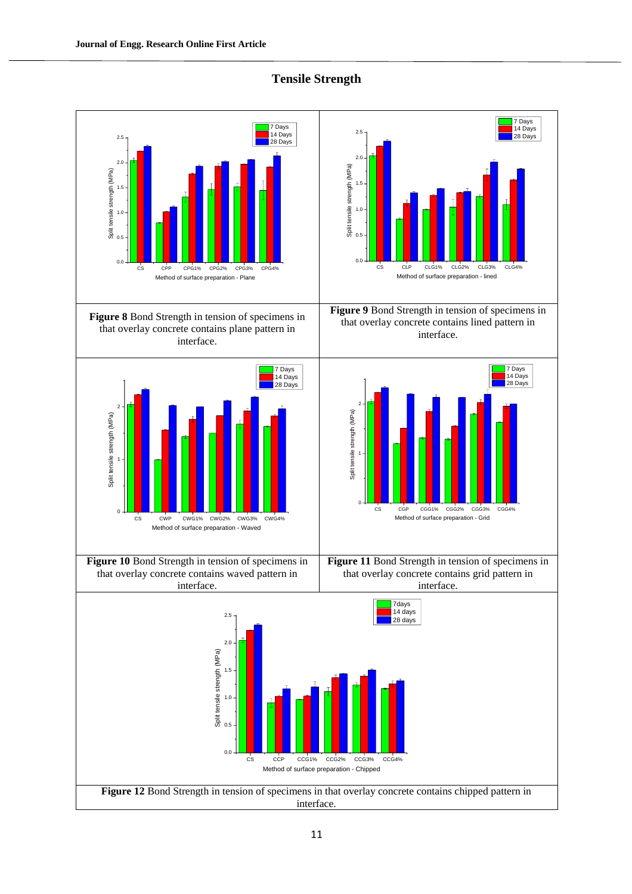

# **Tensile Strength**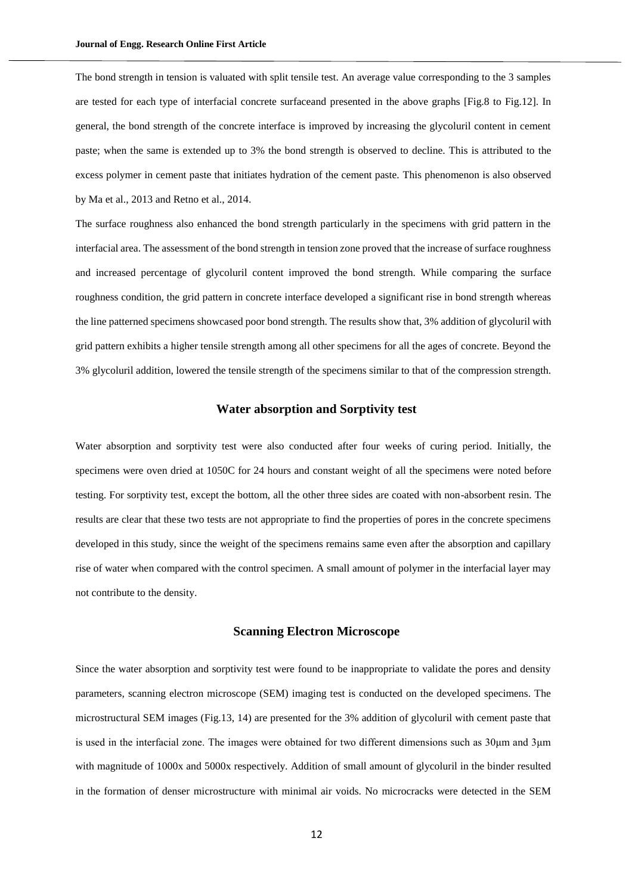The bond strength in tension is valuated with split tensile test. An average value corresponding to the 3 samples are tested for each type of interfacial concrete surfaceand presented in the above graphs [Fig.8 to Fig.12]. In general, the bond strength of the concrete interface is improved by increasing the glycoluril content in cement paste; when the same is extended up to 3% the bond strength is observed to decline. This is attributed to the excess polymer in cement paste that initiates hydration of the cement paste. This phenomenon is also observed by Ma et al., 2013 and Retno et al., 2014.

The surface roughness also enhanced the bond strength particularly in the specimens with grid pattern in the interfacial area. The assessment of the bond strength in tension zone proved that the increase of surface roughness and increased percentage of glycoluril content improved the bond strength. While comparing the surface roughness condition, the grid pattern in concrete interface developed a significant rise in bond strength whereas the line patterned specimens showcased poor bond strength. The results show that, 3% addition of glycoluril with grid pattern exhibits a higher tensile strength among all other specimens for all the ages of concrete. Beyond the 3% glycoluril addition, lowered the tensile strength of the specimens similar to that of the compression strength.

# **Water absorption and Sorptivity test**

Water absorption and sorptivity test were also conducted after four weeks of curing period. Initially, the specimens were oven dried at 1050C for 24 hours and constant weight of all the specimens were noted before testing. For sorptivity test, except the bottom, all the other three sides are coated with non-absorbent resin. The results are clear that these two tests are not appropriate to find the properties of pores in the concrete specimens developed in this study, since the weight of the specimens remains same even after the absorption and capillary rise of water when compared with the control specimen. A small amount of polymer in the interfacial layer may not contribute to the density.

#### **Scanning Electron Microscope**

Since the water absorption and sorptivity test were found to be inappropriate to validate the pores and density parameters, scanning electron microscope (SEM) imaging test is conducted on the developed specimens. The microstructural SEM images (Fig.13, 14) are presented for the 3% addition of glycoluril with cement paste that is used in the interfacial zone. The images were obtained for two different dimensions such as 30μm and 3μm with magnitude of 1000x and 5000x respectively. Addition of small amount of glycoluril in the binder resulted in the formation of denser microstructure with minimal air voids. No microcracks were detected in the SEM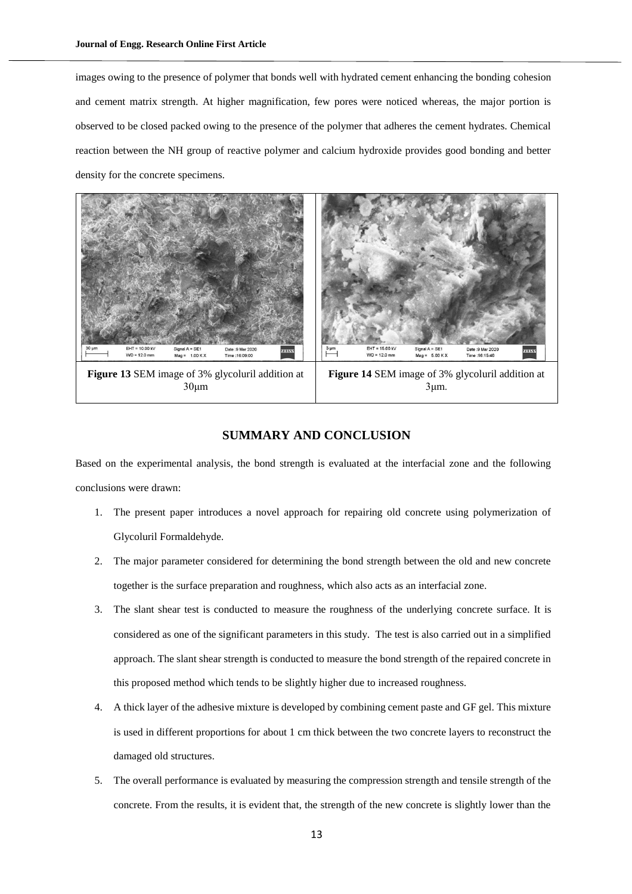images owing to the presence of polymer that bonds well with hydrated cement enhancing the bonding cohesion and cement matrix strength. At higher magnification, few pores were noticed whereas, the major portion is observed to be closed packed owing to the presence of the polymer that adheres the cement hydrates. Chemical reaction between the NH group of reactive polymer and calcium hydroxide provides good bonding and better density for the concrete specimens.



# **SUMMARY AND CONCLUSION**

Based on the experimental analysis, the bond strength is evaluated at the interfacial zone and the following conclusions were drawn:

- 1. The present paper introduces a novel approach for repairing old concrete using polymerization of Glycoluril Formaldehyde.
- 2. The major parameter considered for determining the bond strength between the old and new concrete together is the surface preparation and roughness, which also acts as an interfacial zone.
- 3. The slant shear test is conducted to measure the roughness of the underlying concrete surface. It is considered as one of the significant parameters in this study. The test is also carried out in a simplified approach. The slant shear strength is conducted to measure the bond strength of the repaired concrete in this proposed method which tends to be slightly higher due to increased roughness.
- 4. A thick layer of the adhesive mixture is developed by combining cement paste and GF gel. This mixture is used in different proportions for about 1 cm thick between the two concrete layers to reconstruct the damaged old structures.
- 5. The overall performance is evaluated by measuring the compression strength and tensile strength of the concrete. From the results, it is evident that, the strength of the new concrete is slightly lower than the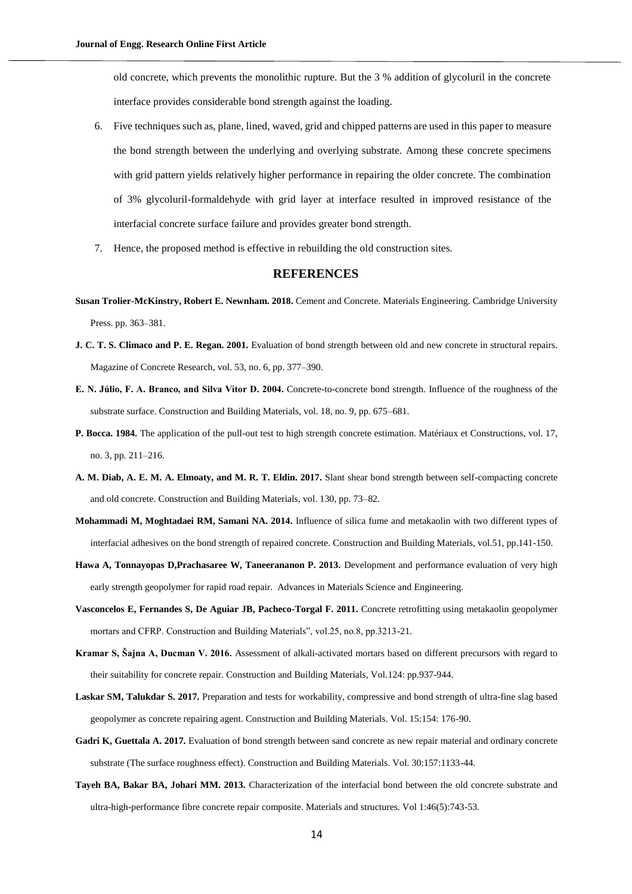old concrete, which prevents the monolithic rupture. But the 3 % addition of glycoluril in the concrete interface provides considerable bond strength against the loading.

- 6. Five techniques such as, plane, lined, waved, grid and chipped patterns are used in this paper to measure the bond strength between the underlying and overlying substrate. Among these concrete specimens with grid pattern yields relatively higher performance in repairing the older concrete. The combination of 3% glycoluril-formaldehyde with grid layer at interface resulted in improved resistance of the interfacial concrete surface failure and provides greater bond strength.
- 7. Hence, the proposed method is effective in rebuilding the old construction sites.

# **REFERENCES**

- **Susan Trolier-McKinstry, Robert E. Newnham. 2018.** Cement and Concrete. Materials Engineering. Cambridge University Press. pp. 363–381.
- **J. C. T. S. Climaco and P. E. Regan. 2001.** Evaluation of bond strength between old and new concrete in structural repairs. Magazine of Concrete Research, vol. 53, no. 6, pp. 377–390.
- **E. N. Júlio, F. A. Branco, and Silva Vı́ tor D. 2004.** Concrete-to-concrete bond strength. Influence of the roughness of the substrate surface. Construction and Building Materials, vol. 18, no. 9, pp. 675–681.
- **P. Bocca. 1984.** The application of the pull-out test to high strength concrete estimation. Matériaux et Constructions, vol. 17, no. 3, pp. 211–216.
- **A. M. Diab, A. E. M. A. Elmoaty, and M. R. T. Eldin. 2017.** Slant shear bond strength between self-compacting concrete and old concrete. Construction and Building Materials, vol. 130, pp. 73–82.
- **Mohammadi M, Moghtadaei RM, Samani NA. 2014.** Influence of silica fume and metakaolin with two different types of interfacial adhesives on the bond strength of repaired concrete. Construction and Building Materials, vol.51, pp.141-150.
- **Hawa A, Tonnayopas D,Prachasaree W, Taneerananon P. 2013.** Development and performance evaluation of very high early strength geopolymer for rapid road repair. Advances in Materials Science and Engineering.
- **Vasconcelos E, Fernandes S, De Aguiar JB, Pacheco-Torgal F. 2011.** Concrete retrofitting using metakaolin geopolymer mortars and CFRP. Construction and Building Materials", vol.25, no.8, pp.3213-21.
- **Kramar S, Šajna A, Ducman V. 2016.** Assessment of alkali-activated mortars based on different precursors with regard to their suitability for concrete repair. Construction and Building Materials, Vol.124: pp.937-944.
- **Laskar SM, Talukdar S. 2017.** Preparation and tests for workability, compressive and bond strength of ultra-fine slag based geopolymer as concrete repairing agent. Construction and Building Materials. Vol. 15:154: 176-90.
- **Gadri K, Guettala A. 2017.** Evaluation of bond strength between sand concrete as new repair material and ordinary concrete substrate (The surface roughness effect). Construction and Building Materials. Vol. 30:157:1133-44.
- **Tayeh BA, Bakar BA, Johari MM. 2013.** Characterization of the interfacial bond between the old concrete substrate and ultra-high-performance fibre concrete repair composite. Materials and structures. Vol 1:46(5):743-53.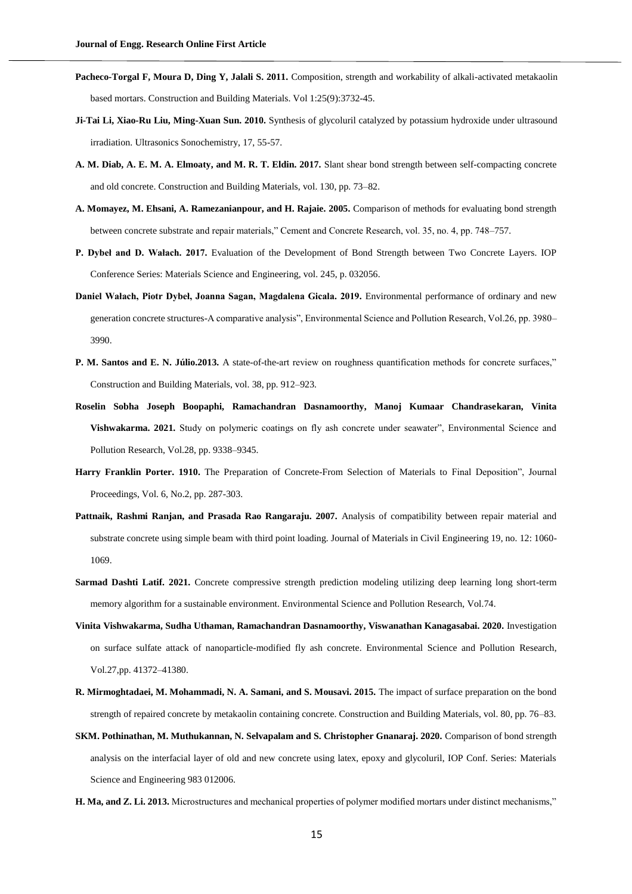- **Pacheco-Torgal F, Moura D, Ding Y, Jalali S. 2011.** Composition, strength and workability of alkali-activated metakaolin based mortars. Construction and Building Materials. Vol 1:25(9):3732-45.
- **Ji-Tai Li, Xiao-Ru Liu, Ming-Xuan Sun. 2010.** Synthesis of glycoluril catalyzed by potassium hydroxide under ultrasound irradiation. Ultrasonics Sonochemistry, 17, 55-57.
- **A. M. Diab, A. E. M. A. Elmoaty, and M. R. T. Eldin. 2017.** Slant shear bond strength between self-compacting concrete and old concrete. Construction and Building Materials, vol. 130, pp. 73–82.
- **A. Momayez, M. Ehsani, A. Ramezanianpour, and H. Rajaie. 2005.** Comparison of methods for evaluating bond strength between concrete substrate and repair materials," Cement and Concrete Research, vol. 35, no. 4, pp. 748–757.
- **P. Dybeł and D. Wałach. 2017.** Evaluation of the Development of Bond Strength between Two Concrete Layers. IOP Conference Series: Materials Science and Engineering, vol. 245, p. 032056.
- **Daniel Wałach, Piotr Dybeł, Joanna Sagan, Magdalena Gicala. 2019.** Environmental performance of ordinary and new generation concrete structures-A comparative analysis", Environmental Science and Pollution Research, Vol.26, pp. 3980– 3990.
- **P. M. Santos and E. N. Júlio.2013.** A state-of-the-art review on roughness quantification methods for concrete surfaces," Construction and Building Materials, vol. 38, pp. 912–923.
- **Roselin Sobha Joseph Boopaphi, Ramachandran Dasnamoorthy, Manoj Kumaar Chandrasekaran, Vinita Vishwakarma. 2021.** Study on polymeric coatings on fly ash concrete under seawater", Environmental Science and Pollution Research, Vol.28, pp. 9338–9345.
- **Harry Franklin Porter. 1910.** The Preparation of Concrete-From Selection of Materials to Final Deposition", Journal Proceedings, Vol. 6, No.2, pp. 287-303.
- Pattnaik, Rashmi Ranjan, and Prasada Rao Rangaraju. 2007. Analysis of compatibility between repair material and substrate concrete using simple beam with third point loading. Journal of Materials in Civil Engineering 19, no. 12: 1060- 1069.
- **Sarmad Dashti Latif. 2021.** Concrete compressive strength prediction modeling utilizing deep learning long short-term memory algorithm for a sustainable environment. Environmental Science and Pollution Research, Vol.74.
- **Vinita Vishwakarma, Sudha Uthaman, Ramachandran Dasnamoorthy, Viswanathan Kanagasabai. 2020.** Investigation on surface sulfate attack of nanoparticle-modified fly ash concrete. Environmental Science and Pollution Research, Vol.27,pp. 41372–41380.
- **R. Mirmoghtadaei, M. Mohammadi, N. A. Samani, and S. Mousavi. 2015.** The impact of surface preparation on the bond strength of repaired concrete by metakaolin containing concrete. Construction and Building Materials, vol. 80, pp. 76–83.
- **SKM. Pothinathan, M. Muthukannan, N. Selvapalam and S. Christopher Gnanaraj. 2020.** Comparison of bond strength analysis on the interfacial layer of old and new concrete using latex, epoxy and glycoluril, IOP Conf. Series: Materials Science and Engineering 983 012006.
- **H. Ma, and Z. Li. 2013.** Microstructures and mechanical properties of polymer modified mortars under distinct mechanisms,"